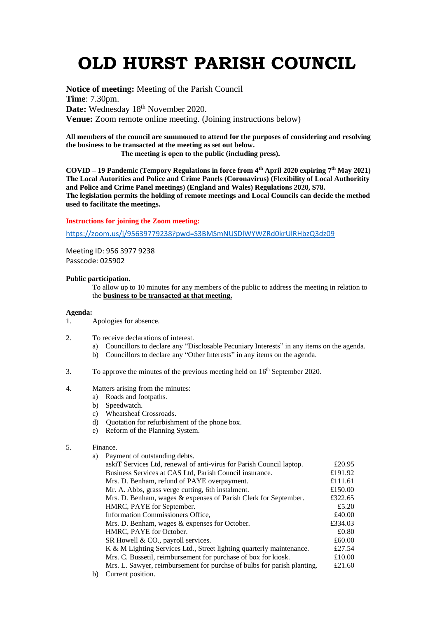# **OLD HURST PARISH COUNCIL**

**Notice of meeting:** Meeting of the Parish Council **Time**: 7.30pm. Date: Wednesday 18<sup>th</sup> November 2020. **Venue:** Zoom remote online meeting. (Joining instructions below)

**All members of the council are summoned to attend for the purposes of considering and resolving the business to be transacted at the meeting as set out below.**

 **The meeting is open to the public (including press).**

**COVID – 19 Pandemic (Tempory Regulations in force from 4th April 2020 expiring 7 th May 2021) The Local Autorities and Police and Crime Panels (Coronavirus) (Flexibility of Local Authoritity and Police and Crime Panel meetings) (England and Wales) Regulations 2020, S78. The legislation permits the holding of remote meetings and Local Councils can decide the method used to facilitate the meetings.** 

### **Instructions for joining the Zoom meeting:**

<https://zoom.us/j/95639779238?pwd=S3BMSmNUSDlWYWZRd0krUlRHbzQ3dz09>

Meeting ID: 956 3977 9238 Passcode: 025902

### **Public participation.**

To allow up to 10 minutes for any members of the public to address the meeting in relation to the **business to be transacted at that meeting.** 

#### **Agenda:**

- 1. Apologies for absence.
- 2. To receive declarations of interest.
	- a) Councillors to declare any "Disclosable Pecuniary Interests" in any items on the agenda.
	- b) Councillors to declare any "Other Interests" in any items on the agenda.
- 3. To approve the minutes of the previous meeting held on  $16<sup>th</sup>$  September 2020.
- 4. Matters arising from the minutes:
	- a) Roads and footpaths.
	- b) Speedwatch.
	- c) Wheatsheaf Crossroads.
	- d) Quotation for refurbishment of the phone box.
	- e) Reform of the Planning System.

## 5. Finance.

| a) | Payment of outstanding debts.                                           |         |
|----|-------------------------------------------------------------------------|---------|
|    | askiT Services Ltd, renewal of anti-virus for Parish Council laptop.    | £20.95  |
|    | Business Services at CAS Ltd, Parish Council insurance.                 | £191.92 |
|    | Mrs. D. Benham, refund of PAYE overpayment.                             | £111.61 |
|    | Mr. A. Abbs, grass verge cutting, 6th instalment.                       | £150.00 |
|    | Mrs. D. Benham, wages & expenses of Parish Clerk for September.         | £322.65 |
|    | HMRC, PAYE for September.                                               | £5.20   |
|    | <b>Information Commissioners Office,</b>                                | £40.00  |
|    | Mrs. D. Benham, wages & expenses for October.                           | £334.03 |
|    | HMRC, PAYE for October.                                                 | £0.80   |
|    | SR Howell & CO., payroll services.                                      | £60.00  |
|    | K & M Lighting Services Ltd., Street lighting quarterly maintenance.    | £27.54  |
|    | Mrs. C. Bussetil, reimbursement for purchase of box for kiosk.          | £10.00  |
|    | Mrs. L. Sawyer, reimbursement for purchse of bulbs for parish planting. | £21.60  |
|    | $\mathbf{h}$ Compant modifiem                                           |         |

b) Current position.